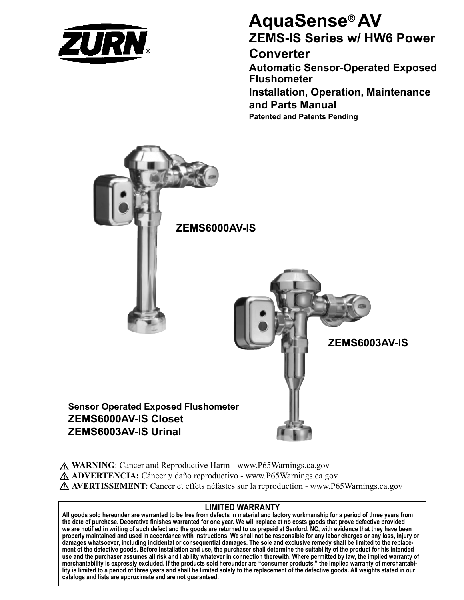

# **AquaSense® AV ZEMS-IS Series w/ HW6 Power**

## **Converter**

**Automatic Sensor-Operated Exposed Flushometer**

**Installation, Operation, Maintenance and Parts Manual Patented and Patents Pending**



**WARNING**: Cancer and Reproductive Harm - www.P65Warnings.ca.gov **ADVERTENCIA:** Cáncer y daño reproductivo - www.P65Warnings.ca.gov **AVERTISSEMENT:** Cancer et effets néfastes sur la reproduction - www.P65Warnings.ca.gov

### **LIMITED WARRANTY**

**All goods sold hereunder are warranted to be free from defects in material and factory workmanship for a period of three years from the date of purchase. Decorative finishes warranted for one year. We will replace at no costs goods that prove defective provided we are notified in writing of such defect and the goods are returned to us prepaid at Sanford, NC, with evidence that they have been properly maintained and used in accordance with instructions. We shall not be responsible for any labor charges or any loss, injury or damages whatsoever, including incidental or consequential damages. The sole and exclusive remedy shall be limited to the replacement of the defective goods. Before installation and use, the purchaser shall determine the suitability of the product for his intended use and the purchaser assumes all risk and liability whatever in connection therewith. Where permitted by law, the implied warranty of merchantability is expressly excluded. If the products sold hereunder are "consumer products," the implied warranty of merchantability is limited to a period of three years and shall be limited solely to the replacement of the defective goods. All weights stated in our catalogs and lists are approximate and are not guaranteed.**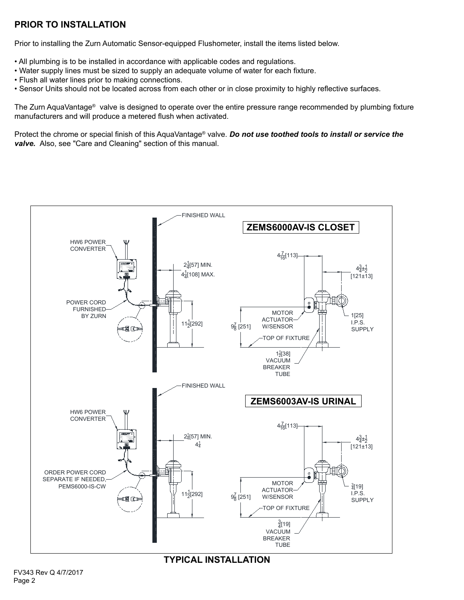### **PRIOR TO INSTALLATION**

Prior to installing the Zurn Automatic Sensor-equipped Flushometer, install the items listed below.

- All plumbing is to be installed in accordance with applicable codes and regulations.
- Water supply lines must be sized to supply an adequate volume of water for each fixture.
- Flush all water lines prior to making connections.
- Sensor Units should not be located across from each other or in close proximity to highly reflective surfaces.

The Zurn AquaVantage® valve is designed to operate over the entire pressure range recommended by plumbing fixture manufacturers and will produce a metered flush when activated.

Protect the chrome or special finish of this AquaVantage® valve. *Do not use toothed tools to install or service the valve.* Also, see "Care and Cleaning" section of this manual.



**TYPICAL INSTALLATION**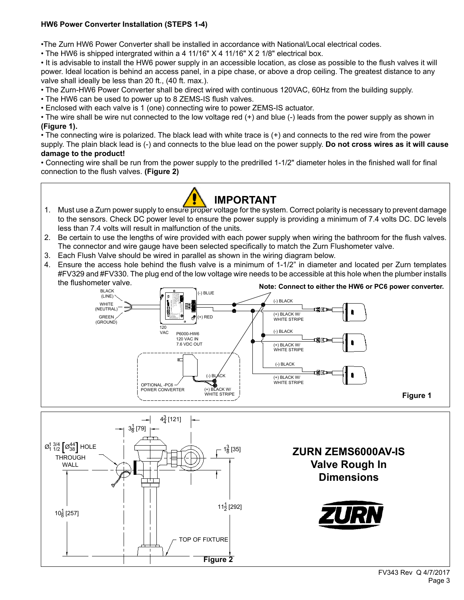#### **HW6 Power Converter Installation (STEPS 1-4)**

•The Zurn HW6 Power Converter shall be installed in accordance with National/Local electrical codes.

• The HW6 is shipped intergrated within a 4 11/16" X 4 11/16" X 2 1/8" electrical box.

• It is advisable to install the HW6 power supply in an accessible location, as close as possible to the flush valves it will power. Ideal location is behind an access panel, in a pipe chase, or above a drop ceiling. The greatest distance to any valve shall ideally be less than 20 ft., (40 ft. max.).

- The Zurn-HW6 Power Converter shall be direct wired with continuous 120VAC, 60Hz from the building supply.
- The HW6 can be used to power up to 8 ZEMS-IS flush valves.

• Enclosed with each valve is 1 (one) connecting wire to power ZEMS-IS actuator.

• The wire shall be wire nut connected to the low voltage red (+) and blue (-) leads from the power supply as shown in **(Figure 1).**

• The connecting wire is polarized. The black lead with white trace is (+) and connects to the red wire from the power supply. The plain black lead is (-) and connects to the blue lead on the power supply. **Do not cross wires as it will cause damage to the product!**

• Connecting wire shall be run from the power supply to the predrilled 1-1/2" diameter holes in the finished wall for final connection to the flush valves. **(Figure 2)**



- 1. Must use a Zurn power supply to ensure proper voltage for the system. Correct polarity is necessary to prevent damage to the sensors. Check DC power level to ensure the power supply is providing a minimum of 7.4 volts DC. DC levels less than 7.4 volts will result in malfunction of the units.
- 2. Be certain to use the lengths of wire provided with each power supply when wiring the bathroom for the flush valves. The connector and wire gauge have been selected specifically to match the Zurn Flushometer valve.
- 3. Each Flush Valve should be wired in parallel as shown in the wiring diagram below.
- 4. Ensure the access hole behind the flush valve is a minimum of 1-1/2" in diameter and located per Zurn templates #FV329 and #FV330. The plug end of the low voltage wire needs to be accessible at this hole when the plumber installs



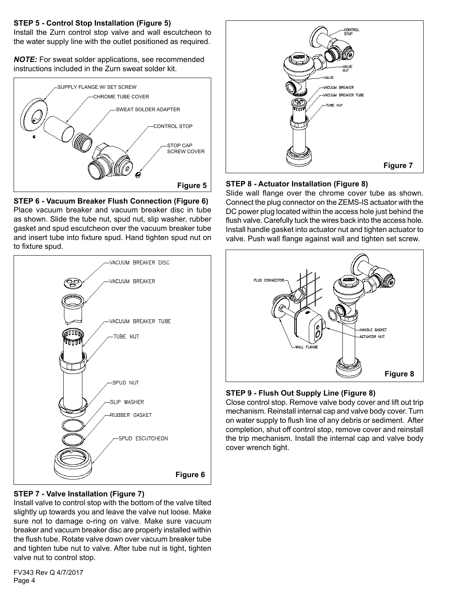#### **STEP 5 - Control Stop Installation (Figure 5)**

Install the Zurn control stop valve and wall escutcheon to the water supply line with the outlet positioned as required.

*NOTE:* For sweat solder applications, see recommended instructions included in the Zurn sweat solder kit.



**STEP 6 - Vacuum Breaker Flush Connection (Figure 6)** Place vacuum breaker and vacuum breaker disc in tube as shown. Slide the tube nut, spud nut, slip washer, rubber gasket and spud escutcheon over the vacuum breaker tube and insert tube into fixture spud. Hand tighten spud nut on to fixture spud.



#### **STEP 7 - Valve Installation (Figure 7)**

Install valve to control stop with the bottom of the valve tilted slightly up towards you and leave the valve nut loose. Make sure not to damage o-ring on valve. Make sure vacuum breaker and vacuum breaker disc are properly installed within the flush tube. Rotate valve down over vacuum breaker tube and tighten tube nut to valve. After tube nut is tight, tighten valve nut to control stop.

FV343 Rev Q 4/7/2017 Page 4



#### **STEP 8 - Actuator Installation (Figure 8)**

Slide wall flange over the chrome cover tube as shown. Connect the plug connector on the ZEMS-IS actuator with the DC power plug located within the access hole just behind the flush valve. Carefully tuck the wires back into the access hole. Install handle gasket into actuator nut and tighten actuator to valve. Push wall flange against wall and tighten set screw.



#### **STEP 9 - Flush Out Supply Line (Figure 8)**

Close control stop. Remove valve body cover and lift out trip mechanism. Reinstall internal cap and valve body cover. Turn on water supply to flush line of any debris or sediment. After completion, shut off control stop, remove cover and reinstall the trip mechanism. Install the internal cap and valve body cover wrench tight.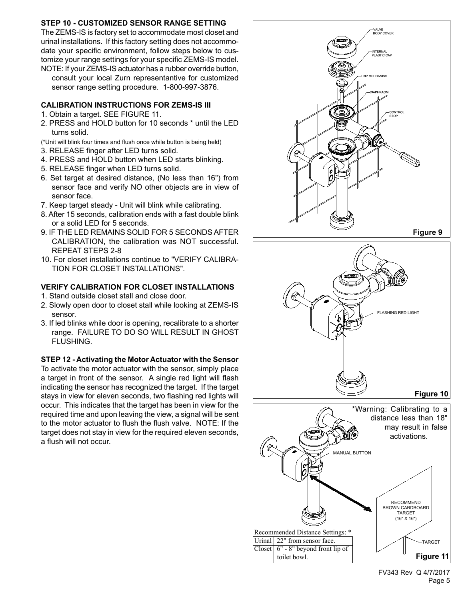#### **STEP 10 - CUSTOMIZED SENSOR RANGE SETTING**

The ZEMS-IS is factory set to accommodate most closet and urinal installations. If this factory setting does not accommodate your specific environment, follow steps below to customize your range settings for your specific ZEMS-IS model. NOTE: If your ZEMS-IS actuator has a rubber override button,

consult your local Zurn representantive for customized sensor range setting procedure. 1-800-997-3876.

#### **CALIBRATION INSTRUCTIONS FOR ZEMS-IS III**

- 1. Obtain a target. SEE FIGURE 11.
- 2. PRESS and HOLD button for 10 seconds \* until the LED turns solid.
- (\*Unit will blink four times and flush once while button is being held)
- 3. RELEASE finger after LED turns solid.
- 4. PRESS and HOLD button when LED starts blinking.
- 5. RELEASE finger when LED turns solid.
- 6. Set target at desired distance, (No less than 16") from sensor face and verify NO other objects are in view of sensor face.
- 7. Keep target steady Unit will blink while calibrating.
- 8. After 15 seconds, calibration ends with a fast double blink or a solid LED for 5 seconds.
- 9. IF THE LED REMAINS SOLID FOR 5 SECONDS AFTER CALIBRATION, the calibration was NOT successful. REPEAT STEPS 2-8
- 10. For closet installations continue to "VERIFY CALIBRA-TION FOR CLOSET INSTALLATIONS".

#### **VERIFY CALIBRATION FOR CLOSET INSTALLATIONS**

- 1. Stand outside closet stall and close door.
- 2. Slowly open door to closet stall while looking at ZEMS-IS sensor.
- 3. If led blinks while door is opening, recalibrate to a shorter range. FAILURE TO DO SO WILL RESULT IN GHOST FLUSHING.

#### **STEP 12 - Activating the Motor Actuator with the Sensor**

To activate the motor actuator with the sensor, simply place a target in front of the sensor. A single red light will flash indicating the sensor has recognized the target. If the target stays in view for eleven seconds, two flashing red lights will occur. This indicates that the target has been in view for the required time and upon leaving the view, a signal will be sent to the motor actuator to flush the flush valve. NOTE: If the target does not stay in view for the required eleven seconds, a flush will not occur.

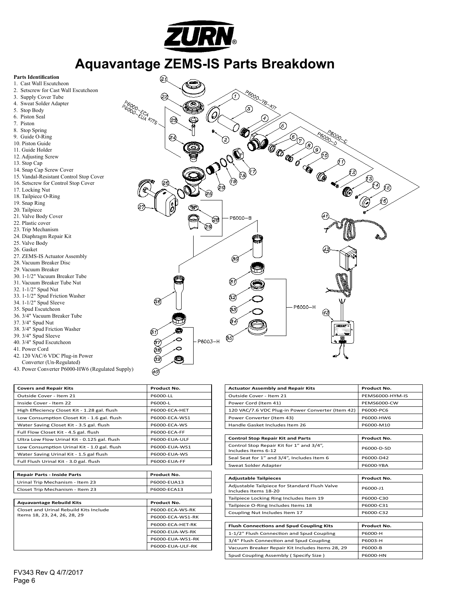

# **Aquavantage ZEMS-IS Parts Breakdown**

#### **Parts Identification**

- 1. Cast Wall Escutcheon
- 2. Setscrew for Cast Wall Escutcheon
- 3. Supply Cover Tube
- Sweat Solder Adapter 5. Stop Body
- 6. Piston Seal
- 
- 7. Piston
- 8. Stop Spring
- 9. Guide O-Ring
- 10. Piston Guide
- 11. Guide Holder
- 12. Adjusting Screw
- 13. Stop Cap
- 14. Snap Cap Screw Cover
- 15. Vandal-Resistant Control Stop Cover
- 16. Setscrew for Control Stop Cover
- 17. Locking Nut
- 18. Tailpiece O-Ring
- 19. Snap Ring
- 20. Tailpiece
- 21. Valve Body Cover
- 22. Plastic cover
- 23. Trip Mechanism
- 24. Diaphragm Repair Kit
- 25. Valve Body
- 26. Gasket
- 27. ZEMS-IS Actuator Assembly
- 28. Vacuum Breaker Disc
- 29. Vacuum Breaker
- 30. 1-1/2" Vacuum Breaker Tube
- 31. Vacuum Breaker Tube Nut
- 32. 1-1/2" Spud Nut
- 33. 1-1/2" Spud Friction Washer
- 34. 1-1/2" Spud Sleeve
- 35. Spud Escutcheon
- 36. 3/4" Vacuum Breaker Tube
- 37. 3/4" Spud Nut
- 38. 3/4" Spud Friction Washer
- 39. 3/4" Spud Sleeve
- 40. 3/4" Spud Escutcheon
- 41. Power Cord
- 
- 42. 120 VAC/6 VDC Plug-in Power Converter (Un-Regulated)
- 43. Power Converter P6000-HW6 (Regulated Supply)

| <b>Covers and Repair Kits</b>                | <b>Product No.</b>  |  |
|----------------------------------------------|---------------------|--|
| Outside Cover - Item 21                      | P6000-LL            |  |
| Inside Cover - Item 22                       | P6000-L             |  |
| High Effeciency Closet Kit - 1.28 gal. flush | P6000-ECA-HET       |  |
| Low Consumption Closet Kit - 1.6 gal. flush  | P6000-ECA-WS1       |  |
| Water Saving Closet Kit - 3.5 gal. flush     | P6000-FCA-WS        |  |
| Full Flow Closet Kit - 4.5 gal. flush        | <b>P6000-ECA-FF</b> |  |
| Ultra Low Flow Urinal Kit - 0.125 gal. flush | P6000-EUA-ULF       |  |
| Low Consumption Urinal Kit - 1.0 gal. flush  | P6000-EUA-WS1       |  |
| Water Saving Urinal Kit - 1.5 gal flush      | P6000-EUA-WS        |  |
| Full Flush Urinal Kit - 3.0 gal. flush       | <b>P6000-EUA-FF</b> |  |

| Repair Parts - Inside Parts     | <b>Product No.</b> |
|---------------------------------|--------------------|
| Urinal Trip Mechanism - Item 23 | P6000-EUA13        |
| Closet Trip Mechanism - Item 23 | P6000-ECA13        |

| <b>Aquavantage Rebuild Kits</b>                                        | Product No.            |
|------------------------------------------------------------------------|------------------------|
| Closet and Urinal Rebuild Kits Include<br>Items 18, 23, 24, 26, 28, 29 | P6000-FCA-WS-RK        |
|                                                                        | P6000-ECA-WS1-RK       |
|                                                                        | P6000-ECA-HET-RK       |
|                                                                        | <b>P6000-EUA-WS-RK</b> |
|                                                                        | P6000-EUA-WS1-RK       |
|                                                                        | P6000-EUA-ULF-RK       |
|                                                                        |                        |



| <b>Actuator Assembly and Repair Kits</b>                              | Product No.        |  |
|-----------------------------------------------------------------------|--------------------|--|
| Outside Cover - Item 21                                               | PEMS6000-HYM-IS    |  |
| Power Cord (Item 41)                                                  | <b>PEMS6000-CW</b> |  |
| 120 VAC/7.6 VDC Plug-in Power Converter (Item 42)                     | P6000-PC6          |  |
| Power Converter (Item 43)                                             | P6000-HW6          |  |
| Handle Gasket Includes Item 26                                        | P6000-M10          |  |
|                                                                       |                    |  |
| <b>Control Stop Repair Kit and Parts</b>                              | Product No.        |  |
| Control Stop Repair Kit for 1" and 3/4",<br>Includes Items 6-12       | P6000-D-SD         |  |
| Seal Seat for 1" and 3/4", Includes Item 6                            | P6000-D42          |  |
| Sweat Solder Adapter                                                  | P6000-YBA          |  |
|                                                                       |                    |  |
| <b>Adjustable Tailpieces</b>                                          | <b>Product No.</b> |  |
| Adjustable Tailpiece for Standard Flush Valve<br>Includes Items 18-20 | P6000-J1           |  |
| Tailpiece Locking Ring Includes Item 19                               | P6000-C30          |  |
| Tailpiece O-Ring Includes Items 18                                    | P6000-C31          |  |
| Coupling Nut Includes Item 17                                         | P6000-C32          |  |
|                                                                       |                    |  |
| <b>Flush Connections and Spud Coupling Kits</b>                       | <b>Product No.</b> |  |
| 1-1/2" Flush Connection and Spud Coupling                             | P6000-H            |  |
| 3/4" Flush Connection and Spud Coupling                               | P6003-H            |  |
| Vacuum Breaker Repair Kit Includes Items 28, 29                       | P6000-B            |  |
| Spud Coupling Assembly (Specify Size)                                 | P6000-HN           |  |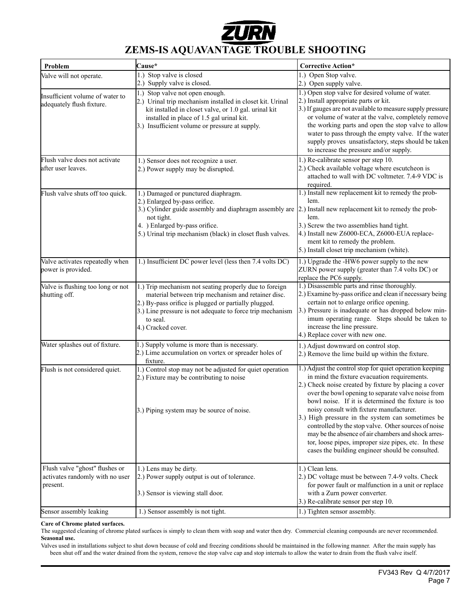

## **ZEMS-IS AQUAVANTAGE TROUBLE SHOOTING**

| 1.) Stop valve is closed<br>1.) Open Stop valve.<br>2.) Supply valve is closed.<br>2.) Open supply valve.<br>1.) Open stop valve for desired volume of water.<br>1.) Stop valve not open enough.<br>2.) Install appropriate parts or kit.<br>2.) Urinal trip mechanism installed in closet kit. Urinal<br>3.) If gauges are not available to measure supply pressure<br>kit installed in closet valve, or 1.0 gal. urinal kit<br>or volume of water at the valve, completely remove<br>installed in place of 1.5 gal urinal kit.<br>the working parts and open the stop valve to allow<br>3.) Insufficient volume or pressure at supply.<br>water to pass through the empty valve. If the water<br>supply proves unsatisfactory, steps should be taken<br>to increase the pressure and/or supply.<br>1.) Re-calibrate sensor per step 10.<br>1.) Sensor does not recognize a user.<br>2.) Check available voltage where escutcheon is<br>2.) Power supply may be disrupted.<br>attached to wall with DC voltmeter. 7.4-9 VDC is<br>required.<br>1.) Install new replacement kit to remedy the prob-<br>1.) Damaged or punctured diaphragm.<br>2.) Enlarged by-pass orifice.<br>lem.<br>3.) Cylinder guide assembly and diaphragm assembly are $ 2$ .) Install new replacement kit to remedy the prob-<br>lem.<br>not tight.<br>4. ) Enlarged by-pass orifice.<br>3.) Screw the two assemblies hand tight.<br>5.) Urinal trip mechanism (black) in closet flush valves.<br>4.) Install new Z6000-ECA, Z6000-EUA replace-<br>ment kit to remedy the problem.<br>5.) Install closet trip mechanism (white).<br>1.) Insufficient DC power level (less then 7.4 volts DC)<br>1.) Upgrade the -HW6 power supply to the new<br>ZURN power supply (greater than 7.4 volts DC) or<br>replace the PC6 supply.<br>1.) Disassemble parts and rinse thoroughly.<br>1.) Trip mechanism not seating properly due to foreign<br>2.) Examine by-pass orifice and clean if necessary being<br>material between trip mechanism and retainer disc.<br>certain not to enlarge orifice opening.<br>2.) By-pass orifice is plugged or partially plugged.<br>3.) Pressure is inadequate or has dropped below min-<br>3.) Line pressure is not adequate to force trip mechanism<br>imum operating range. Steps should be taken to<br>to seal.<br>increase the line pressure.<br>4.) Cracked cover.<br>4.) Replace cover with new one.<br>1.) Supply volume is more than is necessary.<br>1.) Adjust downward on control stop.<br>2.) Lime accumulation on vortex or spreader holes of<br>2.) Remove the lime build up within the fixture.<br>fixture.<br>1.) Adjust the control stop for quiet operation keeping<br>1.) Control stop may not be adjusted for quiet operation<br>in mind the fixture evacuation requirements.<br>2.) Fixture may be contributing to noise<br>2.) Check noise created by fixture by placing a cover<br>over the bowl opening to separate valve noise from<br>bowl noise. If it is determined the fixture is too<br>noisy consult with fixture manufacturer.<br>3.) Piping system may be source of noise.<br>3.) High pressure in the system can sometimes be<br>controlled by the stop valve. Other sources of noise<br>may be the absence of air chambers and shock arres-<br>tor, loose pipes, improper size pipes, etc. In these<br>cases the building engineer should be consulted.<br>1.) Clean lens.<br>1.) Lens may be dirty.<br>2.) DC voltage must be between 7.4-9 volts. Check<br>2.) Power supply output is out of tolerance.<br>for power fault or malfunction in a unit or replace<br>with a Zurn power converter.<br>3.) Sensor is viewing stall door.<br>3.) Re-calibrate sensor per step 10.<br>1.) Sensor assembly is not tight.<br>1.) Tighten sensor assembly. | Problem                                                                       | Cause* | <b>Corrective Action*</b> |
|-----------------------------------------------------------------------------------------------------------------------------------------------------------------------------------------------------------------------------------------------------------------------------------------------------------------------------------------------------------------------------------------------------------------------------------------------------------------------------------------------------------------------------------------------------------------------------------------------------------------------------------------------------------------------------------------------------------------------------------------------------------------------------------------------------------------------------------------------------------------------------------------------------------------------------------------------------------------------------------------------------------------------------------------------------------------------------------------------------------------------------------------------------------------------------------------------------------------------------------------------------------------------------------------------------------------------------------------------------------------------------------------------------------------------------------------------------------------------------------------------------------------------------------------------------------------------------------------------------------------------------------------------------------------------------------------------------------------------------------------------------------------------------------------------------------------------------------------------------------------------------------------------------------------------------------------------------------------------------------------------------------------------------------------------------------------------------------------------------------------------------------------------------------------------------------------------------------------------------------------------------------------------------------------------------------------------------------------------------------------------------------------------------------------------------------------------------------------------------------------------------------------------------------------------------------------------------------------------------------------------------------------------------------------------------------------------------------------------------------------------------------------------------------------------------------------------------------------------------------------------------------------------------------------------------------------------------------------------------------------------------------------------------------------------------------------------------------------------------------------------------------------------------------------------------------------------------------------------------------------------------------------------------------------------------------------------------------------------------------------------------------------------------------------------------------------------------------------------------------------------------------------------------------------------------------------------------------------------------------------------------------------------------------------------------------------------------------------------------------------------------------------------------------------|-------------------------------------------------------------------------------|--------|---------------------------|
|                                                                                                                                                                                                                                                                                                                                                                                                                                                                                                                                                                                                                                                                                                                                                                                                                                                                                                                                                                                                                                                                                                                                                                                                                                                                                                                                                                                                                                                                                                                                                                                                                                                                                                                                                                                                                                                                                                                                                                                                                                                                                                                                                                                                                                                                                                                                                                                                                                                                                                                                                                                                                                                                                                                                                                                                                                                                                                                                                                                                                                                                                                                                                                                                                                                                                                                                                                                                                                                                                                                                                                                                                                                                                                                                                                                         | Valve will not operate.                                                       |        |                           |
|                                                                                                                                                                                                                                                                                                                                                                                                                                                                                                                                                                                                                                                                                                                                                                                                                                                                                                                                                                                                                                                                                                                                                                                                                                                                                                                                                                                                                                                                                                                                                                                                                                                                                                                                                                                                                                                                                                                                                                                                                                                                                                                                                                                                                                                                                                                                                                                                                                                                                                                                                                                                                                                                                                                                                                                                                                                                                                                                                                                                                                                                                                                                                                                                                                                                                                                                                                                                                                                                                                                                                                                                                                                                                                                                                                                         |                                                                               |        |                           |
|                                                                                                                                                                                                                                                                                                                                                                                                                                                                                                                                                                                                                                                                                                                                                                                                                                                                                                                                                                                                                                                                                                                                                                                                                                                                                                                                                                                                                                                                                                                                                                                                                                                                                                                                                                                                                                                                                                                                                                                                                                                                                                                                                                                                                                                                                                                                                                                                                                                                                                                                                                                                                                                                                                                                                                                                                                                                                                                                                                                                                                                                                                                                                                                                                                                                                                                                                                                                                                                                                                                                                                                                                                                                                                                                                                                         | Insufficient volume of water to<br>adequately flush fixture.                  |        |                           |
|                                                                                                                                                                                                                                                                                                                                                                                                                                                                                                                                                                                                                                                                                                                                                                                                                                                                                                                                                                                                                                                                                                                                                                                                                                                                                                                                                                                                                                                                                                                                                                                                                                                                                                                                                                                                                                                                                                                                                                                                                                                                                                                                                                                                                                                                                                                                                                                                                                                                                                                                                                                                                                                                                                                                                                                                                                                                                                                                                                                                                                                                                                                                                                                                                                                                                                                                                                                                                                                                                                                                                                                                                                                                                                                                                                                         | Flush valve does not activate<br>after user leaves.                           |        |                           |
|                                                                                                                                                                                                                                                                                                                                                                                                                                                                                                                                                                                                                                                                                                                                                                                                                                                                                                                                                                                                                                                                                                                                                                                                                                                                                                                                                                                                                                                                                                                                                                                                                                                                                                                                                                                                                                                                                                                                                                                                                                                                                                                                                                                                                                                                                                                                                                                                                                                                                                                                                                                                                                                                                                                                                                                                                                                                                                                                                                                                                                                                                                                                                                                                                                                                                                                                                                                                                                                                                                                                                                                                                                                                                                                                                                                         | Flush valve shuts off too quick.                                              |        |                           |
|                                                                                                                                                                                                                                                                                                                                                                                                                                                                                                                                                                                                                                                                                                                                                                                                                                                                                                                                                                                                                                                                                                                                                                                                                                                                                                                                                                                                                                                                                                                                                                                                                                                                                                                                                                                                                                                                                                                                                                                                                                                                                                                                                                                                                                                                                                                                                                                                                                                                                                                                                                                                                                                                                                                                                                                                                                                                                                                                                                                                                                                                                                                                                                                                                                                                                                                                                                                                                                                                                                                                                                                                                                                                                                                                                                                         | Valve activates repeatedly when<br>power is provided.                         |        |                           |
|                                                                                                                                                                                                                                                                                                                                                                                                                                                                                                                                                                                                                                                                                                                                                                                                                                                                                                                                                                                                                                                                                                                                                                                                                                                                                                                                                                                                                                                                                                                                                                                                                                                                                                                                                                                                                                                                                                                                                                                                                                                                                                                                                                                                                                                                                                                                                                                                                                                                                                                                                                                                                                                                                                                                                                                                                                                                                                                                                                                                                                                                                                                                                                                                                                                                                                                                                                                                                                                                                                                                                                                                                                                                                                                                                                                         | Valve is flushing too long or not<br>shutting off.                            |        |                           |
|                                                                                                                                                                                                                                                                                                                                                                                                                                                                                                                                                                                                                                                                                                                                                                                                                                                                                                                                                                                                                                                                                                                                                                                                                                                                                                                                                                                                                                                                                                                                                                                                                                                                                                                                                                                                                                                                                                                                                                                                                                                                                                                                                                                                                                                                                                                                                                                                                                                                                                                                                                                                                                                                                                                                                                                                                                                                                                                                                                                                                                                                                                                                                                                                                                                                                                                                                                                                                                                                                                                                                                                                                                                                                                                                                                                         | Water splashes out of fixture.                                                |        |                           |
|                                                                                                                                                                                                                                                                                                                                                                                                                                                                                                                                                                                                                                                                                                                                                                                                                                                                                                                                                                                                                                                                                                                                                                                                                                                                                                                                                                                                                                                                                                                                                                                                                                                                                                                                                                                                                                                                                                                                                                                                                                                                                                                                                                                                                                                                                                                                                                                                                                                                                                                                                                                                                                                                                                                                                                                                                                                                                                                                                                                                                                                                                                                                                                                                                                                                                                                                                                                                                                                                                                                                                                                                                                                                                                                                                                                         | Flush is not considered quiet.                                                |        |                           |
|                                                                                                                                                                                                                                                                                                                                                                                                                                                                                                                                                                                                                                                                                                                                                                                                                                                                                                                                                                                                                                                                                                                                                                                                                                                                                                                                                                                                                                                                                                                                                                                                                                                                                                                                                                                                                                                                                                                                                                                                                                                                                                                                                                                                                                                                                                                                                                                                                                                                                                                                                                                                                                                                                                                                                                                                                                                                                                                                                                                                                                                                                                                                                                                                                                                                                                                                                                                                                                                                                                                                                                                                                                                                                                                                                                                         | Flush valve "ghost" flushes or<br>activates randomly with no user<br>present. |        |                           |
|                                                                                                                                                                                                                                                                                                                                                                                                                                                                                                                                                                                                                                                                                                                                                                                                                                                                                                                                                                                                                                                                                                                                                                                                                                                                                                                                                                                                                                                                                                                                                                                                                                                                                                                                                                                                                                                                                                                                                                                                                                                                                                                                                                                                                                                                                                                                                                                                                                                                                                                                                                                                                                                                                                                                                                                                                                                                                                                                                                                                                                                                                                                                                                                                                                                                                                                                                                                                                                                                                                                                                                                                                                                                                                                                                                                         | Sensor assembly leaking                                                       |        |                           |

#### **Care of Chrome plated surfaces.**

The suggested cleaning of chrome plated surfaces is simply to clean them with soap and water then dry. Commercial cleaning compounds are never recommended. **Seasonal use.**

Valves used in installations subject to shut down because of cold and freezing conditions should be maintained in the following manner. After the main supply has been shut off and the water drained from the system, remove the stop valve cap and stop internals to allow the water to drain from the flush valve itself.